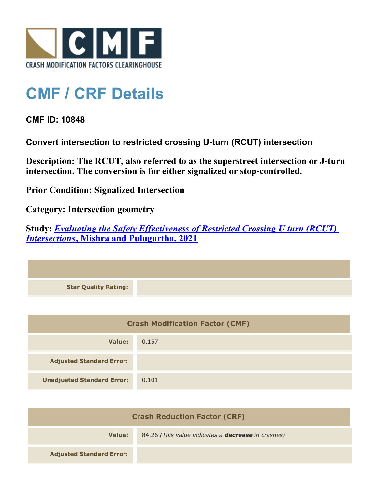

## **CMF / CRF Details**

**CMF ID: 10848**

**Convert intersection to restricted crossing U-turn (RCUT) intersection**

**Description: The RCUT, also referred to as the superstreet intersection or J-turn intersection. The conversion is for either signalized or stop-controlled.**

**Prior Condition: Signalized Intersection**

**Category: Intersection geometry**

**Study:** *[Evaluating the Safety Effectiveness of Restricted Crossing U turn \(RCUT\)](http://www.cmfclearinghouse.org/study_detail.cfm?stid=628) [Intersections](http://www.cmfclearinghouse.org/study_detail.cfm?stid=628)***[, Mishra and Pulugurtha, 2021](http://www.cmfclearinghouse.org/study_detail.cfm?stid=628)**



| <b>Crash Modification Factor (CMF)</b> |       |
|----------------------------------------|-------|
| Value:                                 | 0.157 |
| <b>Adjusted Standard Error:</b>        |       |
| <b>Unadjusted Standard Error:</b>      | 0.101 |

| <b>Crash Reduction Factor (CRF)</b> |                                                           |
|-------------------------------------|-----------------------------------------------------------|
| Value:                              | 84.26 (This value indicates a <b>decrease</b> in crashes) |
| <b>Adjusted Standard Error:</b>     |                                                           |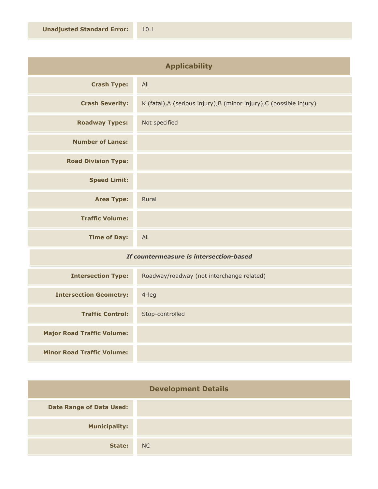| <b>Applicability</b>       |                                                                      |
|----------------------------|----------------------------------------------------------------------|
| <b>Crash Type:</b>         | All                                                                  |
| <b>Crash Severity:</b>     | K (fatal), A (serious injury), B (minor injury), C (possible injury) |
| <b>Roadway Types:</b>      | Not specified                                                        |
| <b>Number of Lanes:</b>    |                                                                      |
| <b>Road Division Type:</b> |                                                                      |
| <b>Speed Limit:</b>        |                                                                      |
| <b>Area Type:</b>          | Rural                                                                |
| <b>Traffic Volume:</b>     |                                                                      |
| <b>Time of Day:</b>        | All                                                                  |
|                            |                                                                      |

## *If countermeasure is intersection-based*

| <b>Intersection Type:</b>         | Roadway/roadway (not interchange related) |
|-----------------------------------|-------------------------------------------|
| <b>Intersection Geometry:</b>     | 4-leg                                     |
| <b>Traffic Control:</b>           | Stop-controlled                           |
| <b>Major Road Traffic Volume:</b> |                                           |
| <b>Minor Road Traffic Volume:</b> |                                           |

| <b>Development Details</b>      |    |
|---------------------------------|----|
| <b>Date Range of Data Used:</b> |    |
| <b>Municipality:</b>            |    |
| State:                          | NC |